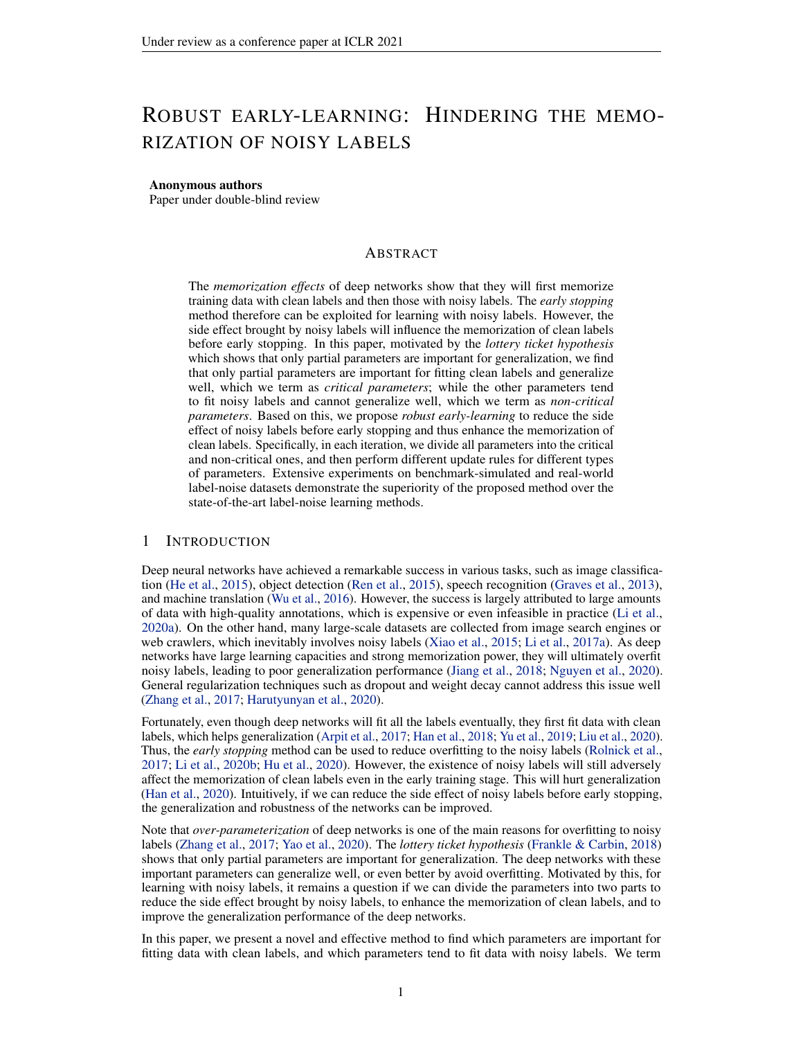# ROBUST EARLY-LEARNING: HINDERING THE MEMO-RIZATION OF NOISY LABELS

## Anonymous authors

Paper under double-blind review

# ABSTRACT

The *memorization effects* of deep networks show that they will first memorize training data with clean labels and then those with noisy labels. The *early stopping* method therefore can be exploited for learning with noisy labels. However, the side effect brought by noisy labels will influence the memorization of clean labels before early stopping. In this paper, motivated by the *lottery ticket hypothesis* which shows that only partial parameters are important for generalization, we find that only partial parameters are important for fitting clean labels and generalize well, which we term as *critical parameters*; while the other parameters tend to fit noisy labels and cannot generalize well, which we term as *non-critical parameters*. Based on this, we propose *robust early-learning* to reduce the side effect of noisy labels before early stopping and thus enhance the memorization of clean labels. Specifically, in each iteration, we divide all parameters into the critical and non-critical ones, and then perform different update rules for different types of parameters. Extensive experiments on benchmark-simulated and real-world label-noise datasets demonstrate the superiority of the proposed method over the state-of-the-art label-noise learning methods.

# 1 INTRODUCTION

Deep neural networks have achieved a remarkable success in various tasks, such as image classification [\(He et al.,](#page-8-0) [2015\)](#page-8-0), object detection [\(Ren et al.,](#page-9-0) [2015\)](#page-9-0), speech recognition [\(Graves et al.,](#page-8-1) [2013\)](#page-8-1), and machine translation [\(Wu et al.,](#page-10-0) [2016\)](#page-10-0). However, the success is largely attributed to large amounts of data with high-quality annotations, which is expensive or even infeasible in practice [\(Li et al.,](#page-9-1) [2020a\)](#page-9-1). On the other hand, many large-scale datasets are collected from image search engines or web crawlers, which inevitably involves noisy labels [\(Xiao et al.,](#page-10-1) [2015;](#page-10-1) [Li et al.,](#page-9-2) [2017a\)](#page-9-2). As deep networks have large learning capacities and strong memorization power, they will ultimately overfit noisy labels, leading to poor generalization performance [\(Jiang et al.,](#page-9-3) [2018;](#page-9-3) [Nguyen et al.,](#page-9-4) [2020\)](#page-9-4). General regularization techniques such as dropout and weight decay cannot address this issue well [\(Zhang et al.,](#page-10-2) [2017;](#page-10-2) [Harutyunyan et al.,](#page-8-2) [2020\)](#page-8-2).

Fortunately, even though deep networks will fit all the labels eventually, they first fit data with clean labels, which helps generalization [\(Arpit et al.,](#page-8-3) [2017;](#page-8-3) [Han et al.,](#page-8-4) [2018;](#page-8-4) [Yu et al.,](#page-10-3) [2019;](#page-10-3) [Liu et al.,](#page-9-5) [2020\)](#page-9-5). Thus, the *early stopping* method can be used to reduce overfitting to the noisy labels [\(Rolnick et al.,](#page-10-4) [2017;](#page-10-4) [Li et al.,](#page-9-6) [2020b;](#page-9-6) [Hu et al.,](#page-9-7) [2020\)](#page-9-7). However, the existence of noisy labels will still adversely affect the memorization of clean labels even in the early training stage. This will hurt generalization [\(Han et al.,](#page-8-5) [2020\)](#page-8-5). Intuitively, if we can reduce the side effect of noisy labels before early stopping, the generalization and robustness of the networks can be improved.

Note that *over-parameterization* of deep networks is one of the main reasons for overfitting to noisy labels [\(Zhang et al.,](#page-10-2) [2017;](#page-10-2) [Yao et al.,](#page-10-5) [2020\)](#page-10-5). The *lottery ticket hypothesis* [\(Frankle & Carbin,](#page-8-6) [2018\)](#page-8-6) shows that only partial parameters are important for generalization. The deep networks with these important parameters can generalize well, or even better by avoid overfitting. Motivated by this, for learning with noisy labels, it remains a question if we can divide the parameters into two parts to reduce the side effect brought by noisy labels, to enhance the memorization of clean labels, and to improve the generalization performance of the deep networks.

In this paper, we present a novel and effective method to find which parameters are important for fitting data with clean labels, and which parameters tend to fit data with noisy labels. We term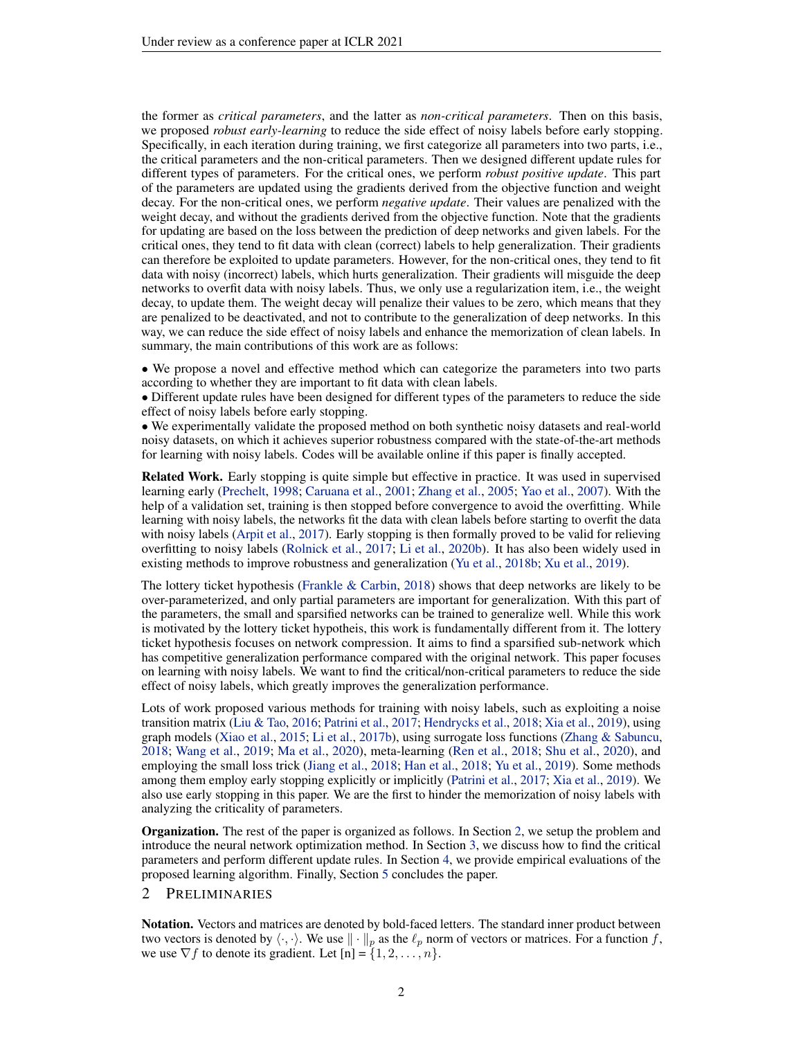the former as *critical parameters*, and the latter as *non-critical parameters*. Then on this basis, we proposed *robust early-learning* to reduce the side effect of noisy labels before early stopping. Specifically, in each iteration during training, we first categorize all parameters into two parts, i.e., the critical parameters and the non-critical parameters. Then we designed different update rules for different types of parameters. For the critical ones, we perform *robust positive update*. This part of the parameters are updated using the gradients derived from the objective function and weight decay. For the non-critical ones, we perform *negative update*. Their values are penalized with the weight decay, and without the gradients derived from the objective function. Note that the gradients for updating are based on the loss between the prediction of deep networks and given labels. For the critical ones, they tend to fit data with clean (correct) labels to help generalization. Their gradients can therefore be exploited to update parameters. However, for the non-critical ones, they tend to fit data with noisy (incorrect) labels, which hurts generalization. Their gradients will misguide the deep networks to overfit data with noisy labels. Thus, we only use a regularization item, i.e., the weight decay, to update them. The weight decay will penalize their values to be zero, which means that they are penalized to be deactivated, and not to contribute to the generalization of deep networks. In this way, we can reduce the side effect of noisy labels and enhance the memorization of clean labels. In summary, the main contributions of this work are as follows:

• We propose a novel and effective method which can categorize the parameters into two parts according to whether they are important to fit data with clean labels.

• Different update rules have been designed for different types of the parameters to reduce the side effect of noisy labels before early stopping.

• We experimentally validate the proposed method on both synthetic noisy datasets and real-world noisy datasets, on which it achieves superior robustness compared with the state-of-the-art methods for learning with noisy labels. Codes will be available online if this paper is finally accepted.

Related Work. Early stopping is quite simple but effective in practice. It was used in supervised learning early [\(Prechelt,](#page-9-8) [1998;](#page-9-8) [Caruana et al.,](#page-8-7) [2001;](#page-8-7) [Zhang et al.,](#page-10-6) [2005;](#page-10-6) [Yao et al.,](#page-10-7) [2007\)](#page-10-7). With the help of a validation set, training is then stopped before convergence to avoid the overfitting. While learning with noisy labels, the networks fit the data with clean labels before starting to overfit the data with noisy labels [\(Arpit et al.,](#page-8-3) [2017\)](#page-8-3). Early stopping is then formally proved to be valid for relieving overfitting to noisy labels [\(Rolnick et al.,](#page-10-4) [2017;](#page-10-4) [Li et al.,](#page-9-6) [2020b\)](#page-9-6). It has also been widely used in existing methods to improve robustness and generalization [\(Yu et al.,](#page-10-8) [2018b;](#page-10-8) [Xu et al.,](#page-10-9) [2019\)](#page-10-9).

The lottery ticket hypothesis [\(Frankle & Carbin,](#page-8-6) [2018\)](#page-8-6) shows that deep networks are likely to be over-parameterized, and only partial parameters are important for generalization. With this part of the parameters, the small and sparsified networks can be trained to generalize well. While this work is motivated by the lottery ticket hypotheis, this work is fundamentally different from it. The lottery ticket hypothesis focuses on network compression. It aims to find a sparsified sub-network which has competitive generalization performance compared with the original network. This paper focuses on learning with noisy labels. We want to find the critical/non-critical parameters to reduce the side effect of noisy labels, which greatly improves the generalization performance.

Lots of work proposed various methods for training with noisy labels, such as exploiting a noise transition matrix [\(Liu & Tao,](#page-9-9) [2016;](#page-9-9) [Patrini et al.,](#page-9-10) [2017;](#page-9-10) [Hendrycks et al.,](#page-8-8) [2018;](#page-8-8) [Xia et al.,](#page-10-10) [2019\)](#page-10-10), using graph models [\(Xiao et al.,](#page-10-1) [2015;](#page-10-1) [Li et al.,](#page-9-11) [2017b\)](#page-9-11), using surrogate loss functions [\(Zhang & Sabuncu,](#page-10-11) [2018;](#page-10-11) [Wang et al.,](#page-10-12) [2019;](#page-10-12) [Ma et al.,](#page-9-12) [2020\)](#page-9-12), meta-learning [\(Ren et al.,](#page-9-13) [2018;](#page-9-13) [Shu et al.,](#page-10-13) [2020\)](#page-10-13), and employing the small loss trick [\(Jiang et al.,](#page-9-3) [2018;](#page-9-3) [Han et al.,](#page-8-4) [2018;](#page-8-4) [Yu et al.,](#page-10-3) [2019\)](#page-10-3). Some methods among them employ early stopping explicitly or implicitly [\(Patrini et al.,](#page-9-10) [2017;](#page-9-10) [Xia et al.,](#page-10-10) [2019\)](#page-10-10). We also use early stopping in this paper. We are the first to hinder the memorization of noisy labels with analyzing the criticality of parameters.

Organization. The rest of the paper is organized as follows. In Section [2,](#page-1-0) we setup the problem and introduce the neural network optimization method. In Section [3,](#page-2-0) we discuss how to find the critical parameters and perform different update rules. In Section [4,](#page-3-0) we provide empirical evaluations of the proposed learning algorithm. Finally, Section [5](#page-7-0) concludes the paper.

# <span id="page-1-0"></span>2 PRELIMINARIES

Notation. Vectors and matrices are denoted by bold-faced letters. The standard inner product between two vectors is denoted by  $\langle \cdot, \cdot \rangle$ . We use  $\|\cdot\|_p$  as the  $\ell_p$  norm of vectors or matrices. For a function f, we use  $\nabla f$  to denote its gradient. Let  $[n] = \{1, 2, \ldots, n\}.$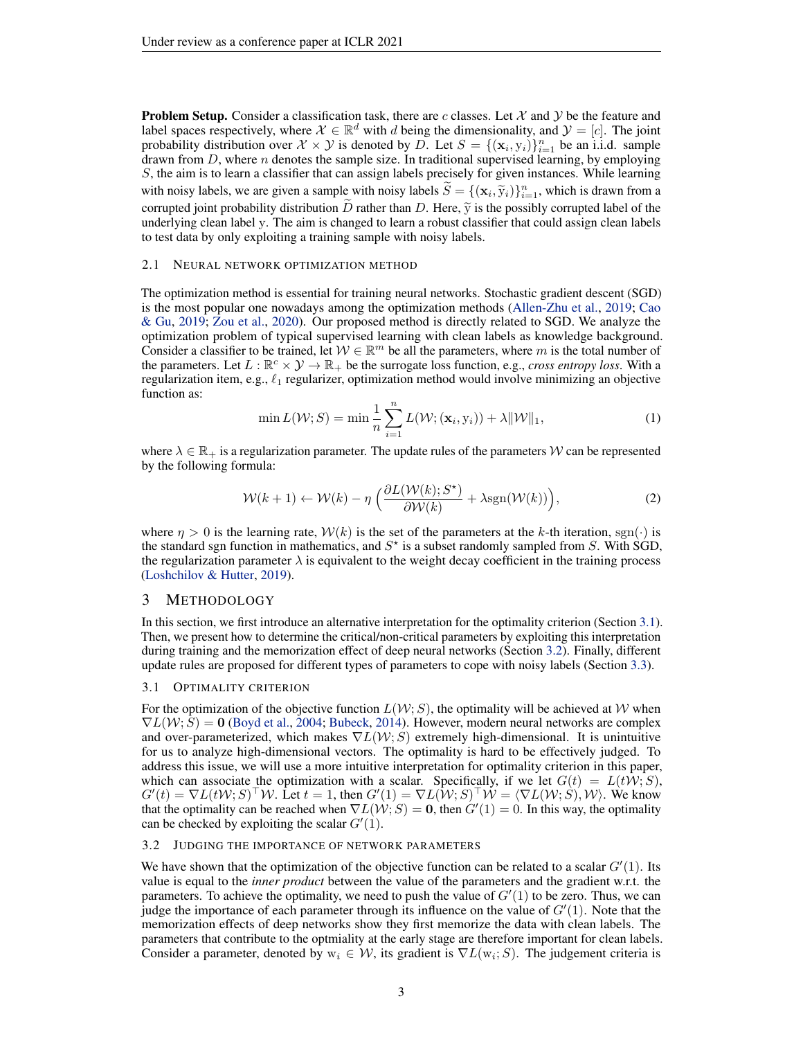**Problem Setup.** Consider a classification task, there are c classes. Let  $X$  and  $Y$  be the feature and label spaces respectively, where  $\mathcal{X} \in \mathbb{R}^d$  with d being the dimensionality, and  $\mathcal{Y} = [c]$ . The joint probability distribution over  $\mathcal{X} \times \mathcal{Y}$  is denoted by D. Let  $S = \{(\mathbf{x}_i, y_i)\}_{i=1}^n$  be an i.i.d. sample drawn from  $D$ , where  $n$  denotes the sample size. In traditional supervised learning, by employing S, the aim is to learn a classifier that can assign labels precisely for given instances. While learning with noisy labels, we are given a sample with noisy labels  $\widetilde{S} = \{(\mathbf{x}_i, \widetilde{y}_i)\}_{i=1}^n$ , which is drawn from a corrupted joint probability distribution  $\overline{D}$  rather than  $D$ . Here,  $\widetilde{y}$  is the possibly corrupted label of the underlying clean label y. The aim is changed to learn a robust classifier that could assign clean labels to test data by only exploiting a training sample with noisy labels.

## 2.1 NEURAL NETWORK OPTIMIZATION METHOD

The optimization method is essential for training neural networks. Stochastic gradient descent (SGD) is the most popular one nowadays among the optimization methods [\(Allen-Zhu et al.,](#page-8-9) [2019;](#page-8-9) [Cao](#page-8-10) [& Gu,](#page-8-10) [2019;](#page-8-10) [Zou et al.,](#page-11-0) [2020\)](#page-11-0). Our proposed method is directly related to SGD. We analyze the optimization problem of typical supervised learning with clean labels as knowledge background. Consider a classifier to be trained, let  $W \in \mathbb{R}^m$  be all the parameters, where m is the total number of the parameters. Let  $L : \mathbb{R}^c \times \mathcal{Y} \to \mathbb{R}_+$  be the surrogate loss function, e.g., *cross entropy loss*. With a regularization item, e.g.,  $\ell_1$  regularizer, optimization method would involve minimizing an objective function as:

$$
\min L(\mathcal{W}; S) = \min \frac{1}{n} \sum_{i=1}^{n} L(\mathcal{W}; (\mathbf{x}_i, \mathbf{y}_i)) + \lambda \|\mathcal{W}\|_1,
$$
\n(1)

where  $\lambda \in \mathbb{R}_+$  is a regularization parameter. The update rules of the parameters W can be represented by the following formula:

<span id="page-2-3"></span>
$$
W(k+1) \leftarrow \mathcal{W}(k) - \eta \left( \frac{\partial L(\mathcal{W}(k); S^*)}{\partial \mathcal{W}(k)} + \lambda \text{sgn}(\mathcal{W}(k)) \right),\tag{2}
$$

where  $\eta > 0$  is the learning rate,  $W(k)$  is the set of the parameters at the k-th iteration, sgn( $\cdot$ ) is the standard sgn function in mathematics, and  $S^*$  is a subset randomly sampled from S. With SGD, the regularization parameter  $\lambda$  is equivalent to the weight decay coefficient in the training process [\(Loshchilov & Hutter,](#page-9-14) [2019\)](#page-9-14).

## <span id="page-2-0"></span>3 METHODOLOGY

In this section, we first introduce an alternative interpretation for the optimality criterion (Section [3.1\)](#page-2-1). Then, we present how to determine the critical/non-critical parameters by exploiting this interpretation during training and the memorization effect of deep neural networks (Section [3.2\)](#page-2-2). Finally, different update rules are proposed for different types of parameters to cope with noisy labels (Section [3.3\)](#page-3-1).

#### <span id="page-2-1"></span>3.1 OPTIMALITY CRITERION

For the optimization of the objective function  $L(\mathcal{W}; S)$ , the optimality will be achieved at W when  $\nabla L(\mathcal{W}; S) = 0$  [\(Boyd et al.,](#page-8-11) [2004;](#page-8-11) [Bubeck,](#page-8-12) [2014\)](#page-8-12). However, modern neural networks are complex and over-parameterized, which makes  $\nabla L(\mathcal{W}; S)$  extremely high-dimensional. It is unintuitive for us to analyze high-dimensional vectors. The optimality is hard to be effectively judged. To address this issue, we will use a more intuitive interpretation for optimality criterion in this paper, which can associate the optimization with a scalar. Specifically, if we let  $G(t) = L(tW; S)$ ,  $G'(t) = \nabla L(t \mathcal{W}; S)^\top \mathcal{W}$ . Let  $t = 1$ , then  $G'(1) = \nabla L(\mathcal{W}; S)^\top \mathcal{W} = \langle \nabla L(\mathcal{W}; S), \mathcal{W} \rangle$ . We know that the optimality can be reached when  $\nabla L(\mathcal{W}; S) = \mathbf{0}$ , then  $G'(1) = 0$ . In this way, the optimality can be checked by exploiting the scalar  $G'(1)$ .

#### <span id="page-2-2"></span>3.2 JUDGING THE IMPORTANCE OF NETWORK PARAMETERS

We have shown that the optimization of the objective function can be related to a scalar  $G'(1)$ . Its value is equal to the *inner product* between the value of the parameters and the gradient w.r.t. the parameters. To achieve the optimality, we need to push the value of  $G'(1)$  to be zero. Thus, we can judge the importance of each parameter through its influence on the value of  $G'(1)$ . Note that the memorization effects of deep networks show they first memorize the data with clean labels. The parameters that contribute to the optmiality at the early stage are therefore important for clean labels. Consider a parameter, denoted by  $w_i \in W$ , its gradient is  $\nabla L(w_i; S)$ . The judgement criteria is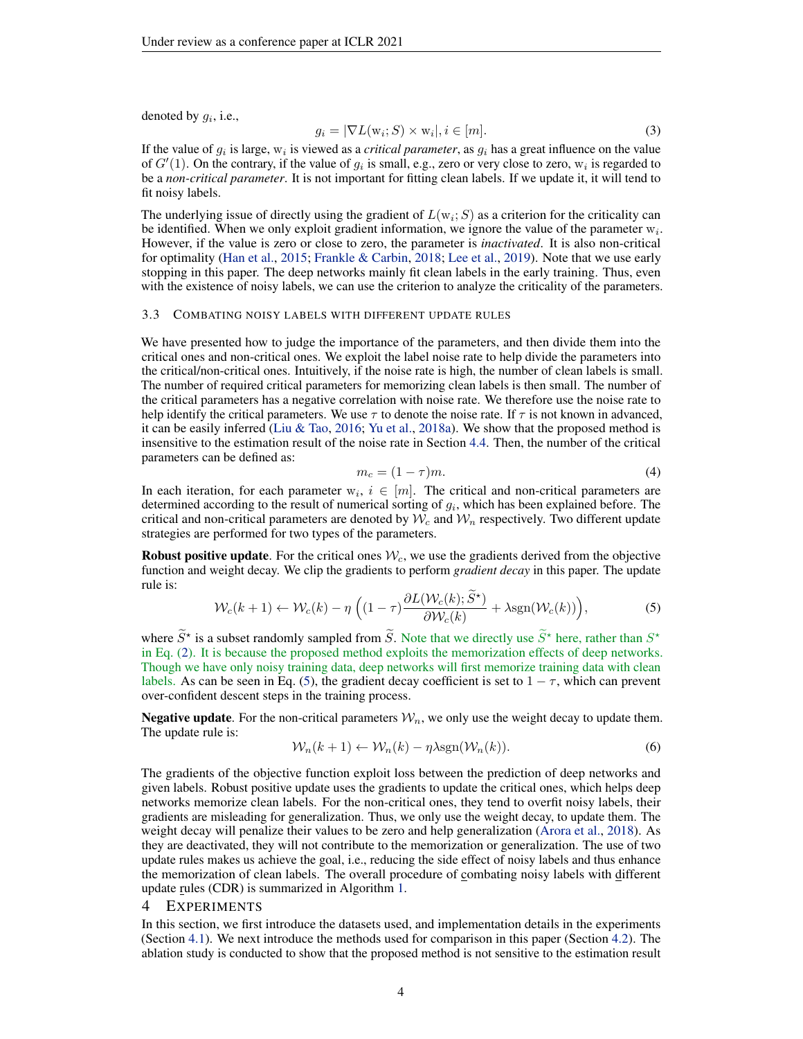denoted by  $g_i$ , i.e.,

<span id="page-3-3"></span>
$$
g_i = |\nabla L(\mathbf{w}_i; S) \times \mathbf{w}_i|, i \in [m]. \tag{3}
$$

If the value of  $g_i$  is large,  $w_i$  is viewed as a *critical parameter*, as  $g_i$  has a great influence on the value of  $G'(1)$ . On the contrary, if the value of  $g_i$  is small, e.g., zero or very close to zero,  $w_i$  is regarded to be a *non-critical parameter*. It is not important for fitting clean labels. If we update it, it will tend to fit noisy labels.

The underlying issue of directly using the gradient of  $L(w_i; S)$  as a criterion for the criticality can be identified. When we only exploit gradient information, we ignore the value of the parameter  $w_i$ . However, if the value is zero or close to zero, the parameter is *inactivated*. It is also non-critical for optimality [\(Han et al.,](#page-8-13) [2015;](#page-8-13) [Frankle & Carbin,](#page-8-6) [2018;](#page-8-6) [Lee et al.,](#page-9-15) [2019\)](#page-9-15). Note that we use early stopping in this paper. The deep networks mainly fit clean labels in the early training. Thus, even with the existence of noisy labels, we can use the criterion to analyze the criticality of the parameters.

#### <span id="page-3-1"></span>3.3 COMBATING NOISY LABELS WITH DIFFERENT UPDATE RULES

We have presented how to judge the importance of the parameters, and then divide them into the critical ones and non-critical ones. We exploit the label noise rate to help divide the parameters into the critical/non-critical ones. Intuitively, if the noise rate is high, the number of clean labels is small. The number of required critical parameters for memorizing clean labels is then small. The number of the critical parameters has a negative correlation with noise rate. We therefore use the noise rate to help identify the critical parameters. We use  $\tau$  to denote the noise rate. If  $\tau$  is not known in advanced, it can be easily inferred [\(Liu & Tao,](#page-9-9) [2016;](#page-9-9) [Yu et al.,](#page-10-14) [2018a\)](#page-10-14). We show that the proposed method is insensitive to the estimation result of the noise rate in Section [4.4.](#page-6-0) Then, the number of the critical parameters can be defined as:

<span id="page-3-4"></span>
$$
m_c = (1 - \tau)m. \tag{4}
$$

In each iteration, for each parameter  $w_i$ ,  $i \in [m]$ . The critical and non-critical parameters are determined according to the result of numerical sorting of  $g_i$ , which has been explained before. The critical and non-critical parameters are denoted by  $W_c$  and  $W_n$  respectively. Two different update strategies are performed for two types of the parameters.

**Robust positive update.** For the critical ones  $W_c$ , we use the gradients derived from the objective function and weight decay. We clip the gradients to perform *gradient decay* in this paper. The update rule is:

<span id="page-3-2"></span>
$$
\mathcal{W}_c(k+1) \leftarrow \mathcal{W}_c(k) - \eta \left( (1-\tau) \frac{\partial L(\mathcal{W}_c(k); \tilde{S}^{\star})}{\partial \mathcal{W}_c(k)} + \lambda \text{sgn}(\mathcal{W}_c(k)) \right),\tag{5}
$$

where  $\tilde{S}^*$  is a subset randomly sampled from  $\tilde{S}$ . Note that we directly use  $\tilde{S}^*$  here, rather than  $S^*$ in Eq. [\(2\)](#page-2-3). It is because the proposed method exploits the memorization effects of deep networks. Though we have only noisy training data, deep networks will first memorize training data with clean labels. As can be seen in Eq. [\(5\)](#page-3-2), the gradient decay coefficient is set to  $1 - \tau$ , which can prevent over-confident descent steps in the training process.

**Negative update.** For the non-critical parameters  $W_n$ , we only use the weight decay to update them. The update rule is:

<span id="page-3-5"></span>
$$
\mathcal{W}_n(k+1) \leftarrow \mathcal{W}_n(k) - \eta \lambda \text{sgn}(\mathcal{W}_n(k)).\tag{6}
$$

The gradients of the objective function exploit loss between the prediction of deep networks and given labels. Robust positive update uses the gradients to update the critical ones, which helps deep networks memorize clean labels. For the non-critical ones, they tend to overfit noisy labels, their gradients are misleading for generalization. Thus, we only use the weight decay, to update them. The weight decay will penalize their values to be zero and help generalization [\(Arora et al.,](#page-8-14) [2018\)](#page-8-14). As they are deactivated, they will not contribute to the memorization or generalization. The use of two update rules makes us achieve the goal, i.e., reducing the side effect of noisy labels and thus enhance the memorization of clean labels. The overall procedure of combating noisy labels with different update rules (CDR) is summarized in Algorithm [1.](#page-4-0)

## <span id="page-3-0"></span>4 EXPERIMENTS

In this section, we first introduce the datasets used, and implementation details in the experiments (Section [4.1\)](#page-4-1). We next introduce the methods used for comparison in this paper (Section [4.2\)](#page-5-0). The ablation study is conducted to show that the proposed method is not sensitive to the estimation result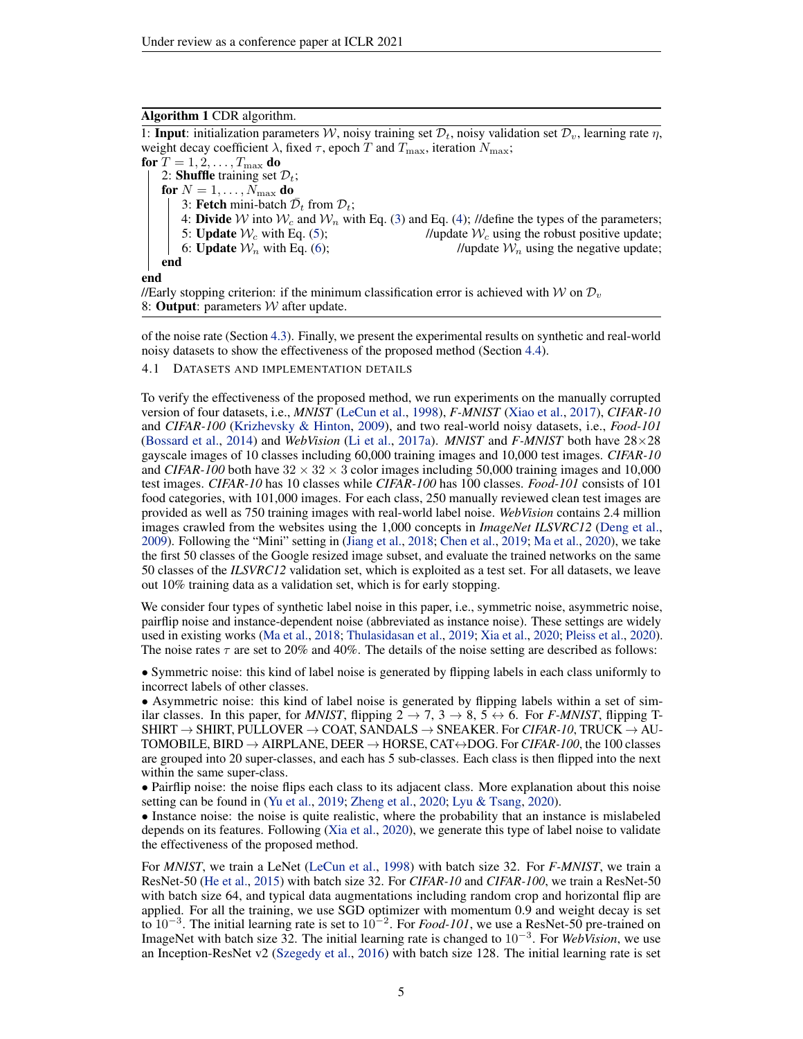# <span id="page-4-0"></span>Algorithm 1 CDR algorithm.

1: **Input**: initialization parameters W, noisy training set  $\mathcal{D}_t$ , noisy validation set  $\mathcal{D}_v$ , learning rate  $\eta$ , weight decay coefficient  $\lambda$ , fixed  $\tau$ , epoch T and  $T_{\text{max}}$ , iteration  $N_{\text{max}}$ ; for  $T = 1, 2, \ldots, T_{\text{max}}$  do 2: **Shuffle** training set  $\mathcal{D}_t$ ; for  $N = 1, \ldots, N_{\text{max}}$  do 3: Fetch mini-batch  $\bar{\mathcal{D}}_t$  from  $\mathcal{D}_t$ ; 4: **Divide** W into  $W_c$  and  $W_n$  with Eq. [\(3\)](#page-3-3) and Eq. [\(4\)](#page-3-4); //define the types of the parameters;<br>5: **Update**  $W_c$  with Eq. (5); //update  $W_c$  using the robust positive update; //update  $W_c$  using the robust positive update; 6: Update  $W_n$  with Eq. [\(6\)](#page-3-5); //update  $W_n$  using the negative update; end end //Early stopping criterion: if the minimum classification error is achieved with W on  $\mathcal{D}_v$ 

8: **Output**: parameters  $W$  after update.

of the noise rate (Section [4.3\)](#page-6-1). Finally, we present the experimental results on synthetic and real-world noisy datasets to show the effectiveness of the proposed method (Section [4.4\)](#page-6-0).

<span id="page-4-1"></span>4.1 DATASETS AND IMPLEMENTATION DETAILS

To verify the effectiveness of the proposed method, we run experiments on the manually corrupted version of four datasets, i.e., *MNIST* [\(LeCun et al.,](#page-9-16) [1998\)](#page-9-16), *F-MNIST* [\(Xiao et al.,](#page-10-15) [2017\)](#page-10-15), *CIFAR-10* and *CIFAR-100* [\(Krizhevsky & Hinton,](#page-9-17) [2009\)](#page-9-17), and two real-world noisy datasets, i.e., *Food-101* [\(Bossard et al.,](#page-8-15) [2014\)](#page-8-15) and *WebVision* [\(Li et al.,](#page-9-2) [2017a\)](#page-9-2). *MNIST* and *F-MNIST* both have 28×28 gayscale images of 10 classes including 60,000 training images and 10,000 test images. *CIFAR-10* and *CIFAR-100* both have  $32 \times 32 \times 3$  color images including 50,000 training images and 10,000 test images. *CIFAR-10* has 10 classes while *CIFAR-100* has 100 classes. *Food-101* consists of 101 food categories, with 101,000 images. For each class, 250 manually reviewed clean test images are provided as well as 750 training images with real-world label noise. *WebVision* contains 2.4 million images crawled from the websites using the 1,000 concepts in *ImageNet ILSVRC12* [\(Deng et al.,](#page-8-16) [2009\)](#page-8-16). Following the "Mini" setting in [\(Jiang et al.,](#page-9-3) [2018;](#page-9-3) [Chen et al.,](#page-8-17) [2019;](#page-8-17) [Ma et al.,](#page-9-12) [2020\)](#page-9-12), we take the first 50 classes of the Google resized image subset, and evaluate the trained networks on the same 50 classes of the *ILSVRC12* validation set, which is exploited as a test set. For all datasets, we leave out 10% training data as a validation set, which is for early stopping.

We consider four types of synthetic label noise in this paper, i.e., symmetric noise, asymmetric noise, pairflip noise and instance-dependent noise (abbreviated as instance noise). These settings are widely used in existing works [\(Ma et al.,](#page-9-18) [2018;](#page-9-18) [Thulasidasan et al.,](#page-10-16) [2019;](#page-10-16) [Xia et al.,](#page-10-17) [2020;](#page-10-17) [Pleiss et al.,](#page-9-19) [2020\)](#page-9-19). The noise rates  $\tau$  are set to 20% and 40%. The details of the noise setting are described as follows:

• Symmetric noise: this kind of label noise is generated by flipping labels in each class uniformly to incorrect labels of other classes.

• Asymmetric noise: this kind of label noise is generated by flipping labels within a set of similar classes. In this paper, for *MNIST*, flipping  $2 \rightarrow 7, 3 \rightarrow 8, 5 \leftrightarrow 6$ . For *F-MNIST*, flipping T-SHIRT  $\rightarrow$  SHIRT, PULLOVER  $\rightarrow$  COAT, SANDALS  $\rightarrow$  SNEAKER. For *CIFAR-10*, TRUCK  $\rightarrow$  AU-TOMOBILE, BIRD → AIRPLANE, DEER → HORSE, CAT↔DOG. For *CIFAR-100*, the 100 classes are grouped into 20 super-classes, and each has 5 sub-classes. Each class is then flipped into the next within the same super-class.

• Pairflip noise: the noise flips each class to its adjacent class. More explanation about this noise setting can be found in [\(Yu et al.,](#page-10-3) [2019;](#page-10-3) [Zheng et al.,](#page-11-1) [2020;](#page-11-1) [Lyu & Tsang,](#page-9-20) [2020\)](#page-9-20).

• Instance noise: the noise is quite realistic, where the probability that an instance is mislabeled depends on its features. Following [\(Xia et al.,](#page-10-17) [2020\)](#page-10-17), we generate this type of label noise to validate the effectiveness of the proposed method.

For *MNIST*, we train a LeNet [\(LeCun et al.,](#page-9-16) [1998\)](#page-9-16) with batch size 32. For *F-MNIST*, we train a ResNet-50 [\(He et al.,](#page-8-0) [2015\)](#page-8-0) with batch size 32. For *CIFAR-10* and *CIFAR-100*, we train a ResNet-50 with batch size 64, and typical data augmentations including random crop and horizontal flip are applied. For all the training, we use SGD optimizer with momentum 0.9 and weight decay is set to 10<sup>−</sup><sup>3</sup> . The initial learning rate is set to 10<sup>−</sup><sup>2</sup> . For *Food-101*, we use a ResNet-50 pre-trained on ImageNet with batch size 32. The initial learning rate is changed to 10<sup>−</sup><sup>3</sup> . For *WebVision*, we use an Inception-ResNet v2 [\(Szegedy et al.,](#page-10-18) [2016\)](#page-10-18) with batch size 128. The initial learning rate is set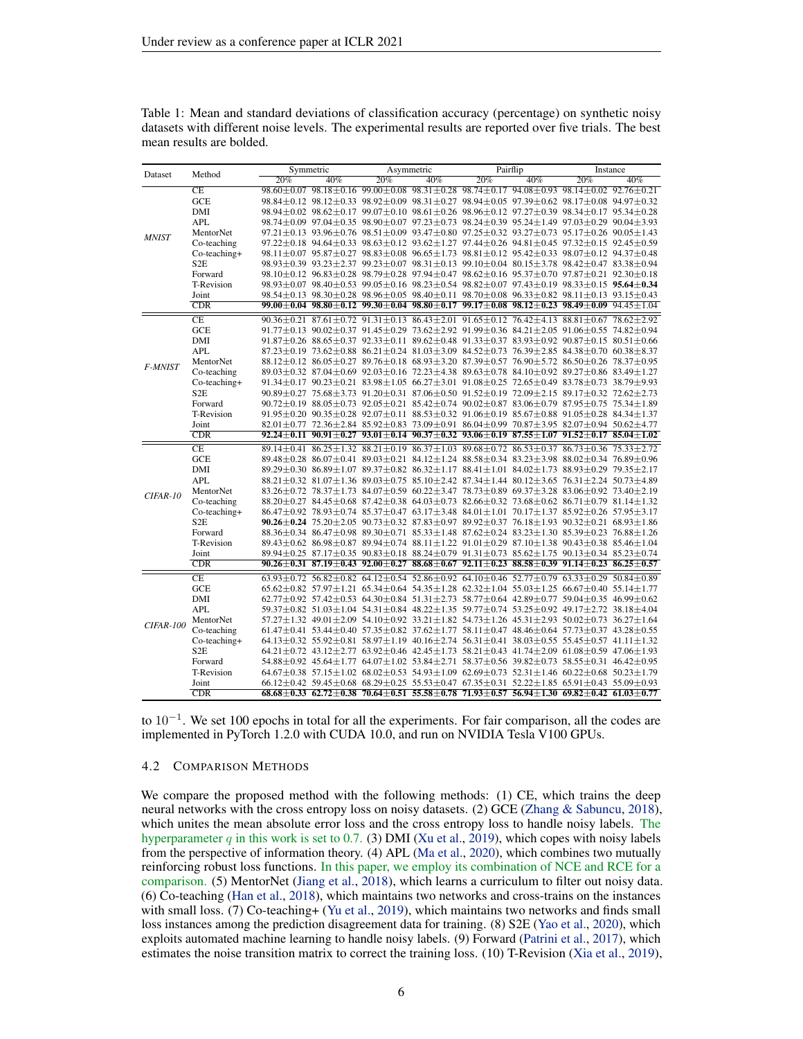| Dataset          | Method                 | Symmetric |     | Asymmetric |     | Pairflip |     | Instance                                                                                                                                                                                                                           |                                                                                                                                         |
|------------------|------------------------|-----------|-----|------------|-----|----------|-----|------------------------------------------------------------------------------------------------------------------------------------------------------------------------------------------------------------------------------------|-----------------------------------------------------------------------------------------------------------------------------------------|
|                  |                        | 20%       | 40% | 20%        | 40% | 20%      | 40% | 20%                                                                                                                                                                                                                                | 40%                                                                                                                                     |
| <b>MNIST</b>     | $\overline{\text{CE}}$ |           |     |            |     |          |     |                                                                                                                                                                                                                                    | $98.60 \pm 0.07$ $98.18 \pm 0.16$ $99.00 \pm 0.08$ $98.31 \pm 0.28$ $98.74 \pm 0.17$ $94.08 \pm 0.93$ $98.14 \pm 0.02$ $92.76 \pm 0.21$ |
|                  | GCE                    |           |     |            |     |          |     | 98.84±0.12 98.12±0.33 98.92±0.09 98.31±0.27 98.94±0.05 97.39±0.62 98.17±0.08 94.97±0.32                                                                                                                                            |                                                                                                                                         |
|                  | DMI                    |           |     |            |     |          |     | $98.94 \pm 0.02$ $98.62 \pm 0.17$ $99.07 \pm 0.10$ $98.61 \pm 0.26$ $98.96 \pm 0.12$ $97.27 \pm 0.39$ $98.34 \pm 0.17$ $95.34 \pm 0.28$                                                                                            |                                                                                                                                         |
|                  | <b>APL</b>             |           |     |            |     |          |     | 98.74 ± 0.09 97.04 ± 0.35 98.90 ± 0.07 97.23 ± 0.73 98.24 ± 0.39 95.24 ± 1.49 97.03 ± 0.29 90.04 ± 3.93                                                                                                                            |                                                                                                                                         |
|                  | MentorNet              |           |     |            |     |          |     | $97.21 \pm 0.13$ $93.96 \pm 0.76$ $98.51 \pm 0.09$ $93.47 \pm 0.80$ $97.25 \pm 0.32$ $93.27 \pm 0.73$ $95.17 \pm 0.26$ $90.05 \pm 1.43$                                                                                            |                                                                                                                                         |
|                  | Co-teaching            |           |     |            |     |          |     | $97.22 \pm 0.18$ $94.64 \pm 0.33$ $98.63 \pm 0.12$ $93.62 \pm 1.27$ $97.44 \pm 0.26$ $94.81 \pm 0.45$ $97.32 \pm 0.15$ $92.45 \pm 0.59$                                                                                            |                                                                                                                                         |
|                  | Co-teaching+           |           |     |            |     |          |     | $98.11 \pm 0.07$ $95.87 \pm 0.27$ $98.83 \pm 0.08$ $96.65 \pm 1.73$ $98.81 \pm 0.12$ $95.42 \pm 0.33$ $98.07 \pm 0.12$ $94.37 \pm 0.48$                                                                                            |                                                                                                                                         |
|                  | S <sub>2</sub> E       |           |     |            |     |          |     | $98.93 \pm 0.39$ $93.23 \pm 2.37$ $99.23 \pm 0.07$ $98.31 \pm 0.13$ $99.10 \pm 0.04$ $80.15 \pm 3.78$ $98.42 \pm 0.47$ $83.38 \pm 0.94$                                                                                            |                                                                                                                                         |
|                  | Forward                |           |     |            |     |          |     | $98.10 \pm 0.12$ $96.83 \pm 0.28$ $98.79 \pm 0.28$ $97.94 \pm 0.47$ $98.62 \pm 0.16$ $95.37 \pm 0.70$ $97.87 \pm 0.21$ $92.30 \pm 0.18$                                                                                            |                                                                                                                                         |
|                  | T-Revision             |           |     |            |     |          |     | 98.93 $\pm$ 0.07 98.40 $\pm$ 0.53 99.05 $\pm$ 0.16 98.23 $\pm$ 0.54 98.82 $\pm$ 0.07 97.43 $\pm$ 0.19 98.33 $\pm$ 0.15 95.64 $\pm$ 0.34                                                                                            |                                                                                                                                         |
|                  | Joint                  |           |     |            |     |          |     | $98.54 \pm 0.13$ $98.30 \pm 0.28$ $98.96 \pm 0.05$ $98.40 \pm 0.11$ $98.70 \pm 0.08$ $96.33 \pm 0.82$ $98.11 \pm 0.13$ $93.15 \pm 0.43$                                                                                            |                                                                                                                                         |
|                  | CDR                    |           |     |            |     |          |     |                                                                                                                                                                                                                                    | $99.00 \pm 0.04$ $98.80 \pm 0.12$ $99.30 \pm 0.04$ $98.80 \pm 0.17$ $99.17 \pm 0.08$ $98.12 \pm 0.23$ $98.49 \pm 0.09$ $94.45 \pm 1.04$ |
|                  | CE                     |           |     |            |     |          |     | $90.36 \pm 0.21$ $87.61 \pm 0.72$ $91.31 \pm 0.13$ $86.43 \pm 2.01$ $91.65 \pm 0.12$ $76.42 \pm 4.13$ $88.81 \pm 0.67$ $78.62 \pm 2.92$                                                                                            |                                                                                                                                         |
|                  | <b>GCE</b>             |           |     |            |     |          |     | $91.77 \pm 0.13$ $90.02 \pm 0.37$ $91.45 \pm 0.29$ $73.62 \pm 2.92$ $91.99 \pm 0.36$ $84.21 \pm 2.05$ $91.06 \pm 0.55$ $74.82 \pm 0.94$                                                                                            |                                                                                                                                         |
|                  | DMI                    |           |     |            |     |          |     | $91.87 \pm 0.26$ $88.65 \pm 0.37$ $92.33 \pm 0.11$ $89.62 \pm 0.48$ $91.33 \pm 0.37$ $83.93 \pm 0.92$ $90.87 \pm 0.15$ $80.51 \pm 0.66$                                                                                            |                                                                                                                                         |
|                  | <b>APL</b>             |           |     |            |     |          |     | $87.23 \pm 0.19$ $73.62 \pm 0.88$ $86.21 \pm 0.24$ $81.03 \pm 3.09$ $84.52 \pm 0.73$ $76.39 \pm 2.85$ $84.38 \pm 0.70$ $60.38 \pm 8.37$                                                                                            |                                                                                                                                         |
|                  | MentorNet              |           |     |            |     |          |     | $88.12 \pm 0.12$ $86.05 \pm 0.27$ $89.76 \pm 0.18$ $68.93 \pm 3.20$ $87.39 \pm 0.57$ $76.90 \pm 5.72$ $86.50 \pm 0.26$ $78.37 \pm 0.95$                                                                                            |                                                                                                                                         |
| F-MNIST          | Co-teaching            |           |     |            |     |          |     | $89.03 \pm 0.32$ $87.04 \pm 0.69$ $92.03 \pm 0.16$ $72.23 \pm 4.38$ $89.63 \pm 0.78$ $84.10 \pm 0.92$ $89.27 \pm 0.86$ $83.49 \pm 1.27$                                                                                            |                                                                                                                                         |
|                  | Co-teaching+           |           |     |            |     |          |     | $91.34 \pm 0.17$ $90.23 \pm 0.21$ $83.98 \pm 1.05$ $66.27 \pm 3.01$ $91.08 \pm 0.25$ $72.65 \pm 0.49$ $83.78 \pm 0.73$ $38.79 \pm 9.93$                                                                                            |                                                                                                                                         |
|                  | S <sub>2</sub> E       |           |     |            |     |          |     | $90.89 \pm 0.27$ 75.68 $\pm$ 3.73 91.20 $\pm$ 0.31 87.06 $\pm$ 0.50 91.52 $\pm$ 0.19 72.09 $\pm$ 2.15 89.17 $\pm$ 0.32 72.62 $\pm$ 2.73                                                                                            |                                                                                                                                         |
|                  | Forward                |           |     |            |     |          |     | $90.72 \pm 0.19$ 88.05 $\pm$ 0.73 92.05 $\pm$ 0.21 85.42 $\pm$ 0.74 90.02 $\pm$ 0.87 83.06 $\pm$ 0.79 87.95 $\pm$ 0.75 75.34 $\pm$ 1.89                                                                                            |                                                                                                                                         |
|                  | T-Revision             |           |     |            |     |          |     | $91.95 \pm 0.20$ $90.35 \pm 0.28$ $92.07 \pm 0.11$ $88.53 \pm 0.32$ $91.06 \pm 0.19$ $85.67 \pm 0.88$ $91.05 \pm 0.28$ $84.34 \pm 1.37$                                                                                            |                                                                                                                                         |
|                  | Joint                  |           |     |            |     |          |     | $82.01 \pm 0.77$ $72.36 \pm 2.84$ $85.92 \pm 0.83$ $73.09 \pm 0.91$ $86.04 \pm 0.99$ $70.87 \pm 3.95$ $82.07 \pm 0.94$ $50.62 \pm 4.77$                                                                                            |                                                                                                                                         |
|                  | CDR                    |           |     |            |     |          |     |                                                                                                                                                                                                                                    | $92.24 \pm 0.11$ $90.91 \pm 0.27$ $93.01 \pm 0.14$ $90.37 \pm 0.32$ $93.06 \pm 0.19$ $87.55 \pm 1.07$ $91.52 \pm 0.17$ $85.04 \pm 1.02$ |
|                  | CE                     |           |     |            |     |          |     | $89.14 \pm 0.41$ $86.25 \pm 1.32$ $88.21 \pm 0.19$ $86.37 \pm 1.03$ $89.68 \pm 0.72$ $86.53 \pm 0.37$ $86.73 \pm 0.36$ $75.33 \pm 2.72$                                                                                            |                                                                                                                                         |
|                  | <b>GCE</b>             |           |     |            |     |          |     | $89.48 \pm 0.28$ $86.07 \pm 0.41$ $89.03 \pm 0.21$ $84.12 \pm 1.24$ $88.58 \pm 0.34$ $83.23 \pm 3.98$ $88.02 \pm 0.34$ $76.89 \pm 0.96$                                                                                            |                                                                                                                                         |
|                  | DMI                    |           |     |            |     |          |     | $89.29 \pm 0.30$ $86.89 \pm 1.07$ $89.37 \pm 0.82$ $86.32 \pm 1.17$ $88.41 \pm 1.01$ $84.02 \pm 1.73$ $88.93 \pm 0.29$ $79.35 \pm 2.17$                                                                                            |                                                                                                                                         |
|                  | <b>APL</b>             |           |     |            |     |          |     | $88.21 \pm 0.32$ $81.07 \pm 1.36$ $89.03 \pm 0.75$ $85.10 \pm 2.42$ $87.34 \pm 1.44$ $80.12 \pm 3.65$ $76.31 \pm 2.24$ $50.73 \pm 4.89$                                                                                            |                                                                                                                                         |
|                  | MentorNet              |           |     |            |     |          |     | $83.26 \pm 0.72 \hspace{0.2cm} 78.37 \pm 1.73 \hspace{0.2cm} 84.07 \pm 0.59 \hspace{0.2cm} 60.22 \pm 3.47 \hspace{0.2cm} 78.73 \pm 0.89 \hspace{0.2cm} 69.37 \pm 3.28 \hspace{0.2cm} 83.06 \pm 0.92 \hspace{0.2cm} 73.40 \pm 2.19$ |                                                                                                                                         |
| CIFAR-10         | Co-teaching            |           |     |            |     |          |     | 88.20±0.27 84.45±0.68 87.42±0.38 64.03±0.73 82.66±0.32 73.68±0.62 86.71±0.79 81.14±1.32                                                                                                                                            |                                                                                                                                         |
|                  | Co-teaching+           |           |     |            |     |          |     | 86.47 ± 0.92 78.93 ± 0.74 85.37 ± 0.47 63.17 ± 3.48 84.01 ± 1.01 70.17 ± 1.37 85.92 ± 0.26 57.95 ± 3.17                                                                                                                            |                                                                                                                                         |
|                  | S <sub>2</sub> E       |           |     |            |     |          |     | <b>90.26</b> $\pm$ 0.24 75.20 $\pm$ 2.05 90.73 $\pm$ 0.32 87.83 $\pm$ 0.97 89.92 $\pm$ 0.37 76.18 $\pm$ 1.93 90.32 $\pm$ 0.21 68.93 $\pm$ 1.86                                                                                     |                                                                                                                                         |
|                  | Forward                |           |     |            |     |          |     | $88.36 \pm 0.34$ $86.47 \pm 0.98$ $89.30 \pm 0.71$ $85.33 \pm 1.48$ $87.62 \pm 0.24$ $83.23 \pm 1.30$ $85.39 \pm 0.23$ $76.88 \pm 1.26$                                                                                            |                                                                                                                                         |
|                  | T-Revision             |           |     |            |     |          |     | 89.43 ± 0.62 86.98 ± 0.87 89.94 ± 0.74 88.11 ± 1.22 91.01 ± 0.29 87.10 ± 1.38 90.43 ± 0.38 85.46 ± 1.04                                                                                                                            |                                                                                                                                         |
|                  | Joint                  |           |     |            |     |          |     | $89.94 \pm 0.25$ $87.17 \pm 0.35$ $90.83 \pm 0.18$ $88.24 \pm 0.79$ $91.31 \pm 0.73$ $85.62 \pm 1.75$ $90.13 \pm 0.34$ $85.23 \pm 0.74$                                                                                            |                                                                                                                                         |
|                  | CDR                    |           |     |            |     |          |     |                                                                                                                                                                                                                                    | $90.26 \pm 0.31$ $87.19 \pm 0.43$ $92.00 \pm 0.27$ $88.68 \pm 0.67$ $92.11 \pm 0.23$ $88.58 \pm 0.39$ $91.14 \pm 0.23$ $86.25 \pm 0.57$ |
|                  | CE                     |           |     |            |     |          |     | $63.93 \pm 0.72$ $56.82 \pm 0.82$ $64.12 \pm 0.54$ $52.86 \pm 0.92$ $64.10 \pm 0.46$ $52.77 \pm 0.79$ $63.33 \pm 0.29$ $50.84 \pm 0.89$                                                                                            |                                                                                                                                         |
| <b>CIFAR-100</b> | <b>GCE</b>             |           |     |            |     |          |     | 65.62±0.82 57.97±1.21 65.34±0.64 54.35±1.28 62.32±1.04 55.03±1.25 66.67±0.40 55.14±1.77                                                                                                                                            |                                                                                                                                         |
|                  | DMI                    |           |     |            |     |          |     | $62.77 \pm 0.92$ $57.42 \pm 0.53$ $64.30 \pm 0.84$ $51.31 \pm 2.73$ $58.77 \pm 0.64$ $42.89 \pm 0.77$ $59.04 \pm 0.35$ $46.99 \pm 0.62$                                                                                            |                                                                                                                                         |
|                  | <b>APL</b>             |           |     |            |     |          |     | $59.37 \pm 0.82$ $51.03 \pm 1.04$ $54.31 \pm 0.84$ $48.22 \pm 1.35$ $59.77 \pm 0.74$ $53.25 \pm 0.92$ $49.17 \pm 2.72$ $38.18 \pm 4.04$                                                                                            |                                                                                                                                         |
|                  | MentorNet              |           |     |            |     |          |     | $57.27 \pm 1.32$ $49.01 \pm 2.09$ $54.10 \pm 0.92$ $33.21 \pm 1.82$ $54.73 \pm 1.26$ $45.31 \pm 2.93$ $50.02 \pm 0.73$ $36.27 \pm 1.64$                                                                                            |                                                                                                                                         |
|                  | Co-teaching            |           |     |            |     |          |     | $61.47 \pm 0.41$ $53.44 \pm 0.40$ $57.35 \pm 0.82$ $37.62 \pm 1.77$ $58.11 \pm 0.47$ $48.46 \pm 0.64$ $57.73 \pm 0.37$ $43.28 \pm 0.55$                                                                                            |                                                                                                                                         |
|                  | Co-teaching+           |           |     |            |     |          |     | $64.13 \pm 0.32$ $55.92 \pm 0.81$ $58.97 \pm 1.19$ $40.16 \pm 2.74$ $56.31 \pm 0.41$ $38.03 \pm 0.55$ $55.45 \pm 0.57$ $41.11 \pm 1.32$                                                                                            |                                                                                                                                         |
|                  | S <sub>2</sub> E       |           |     |            |     |          |     | $64.21 \pm 0.72$ $43.12 \pm 2.77$ $63.92 \pm 0.46$ $42.45 \pm 1.73$ $58.21 \pm 0.43$ $41.74 \pm 2.09$ $61.08 \pm 0.59$ $47.06 \pm 1.93$                                                                                            |                                                                                                                                         |
|                  | Forward                |           |     |            |     |          |     | $54.88 \pm 0.92$ $45.64 \pm 1.77$ $64.07 \pm 1.02$ $53.84 \pm 2.71$ $58.37 \pm 0.56$ $39.82 \pm 0.73$ $58.55 \pm 0.31$ $46.42 \pm 0.95$                                                                                            |                                                                                                                                         |
|                  | T-Revision             |           |     |            |     |          |     | 64.67 $\pm$ 0.38 57.15 $\pm$ 1.02 68.02 $\pm$ 0.53 54.93 $\pm$ 1.09 62.69 $\pm$ 0.73 52.31 $\pm$ 1.46 60.22 $\pm$ 0.68 50.23 $\pm$ 1.79                                                                                            |                                                                                                                                         |
|                  | Joint                  |           |     |            |     |          |     | $66.12 \pm 0.42$ 59.45 $\pm$ 0.68 68.29 $\pm$ 0.25 55.53 $\pm$ 0.47 67.35 $\pm$ 0.31 52.22 $\pm$ 1.85 65.91 $\pm$ 0.43 55.09 $\pm$ 0.93                                                                                            |                                                                                                                                         |
|                  | CDR                    |           |     |            |     |          |     | $68.68 \pm 0.33$ $62.72 \pm 0.38$ $70.64 \pm 0.51$ $55.58 \pm 0.78$ $71.93 \pm 0.57$ $56.94 \pm 1.30$ $69.82 \pm 0.42$ $61.03 \pm 0.77$                                                                                            |                                                                                                                                         |

<span id="page-5-1"></span>Table 1: Mean and standard deviations of classification accuracy (percentage) on synthetic noisy datasets with different noise levels. The experimental results are reported over five trials. The best mean results are bolded.

to 10<sup>−</sup><sup>1</sup> . We set 100 epochs in total for all the experiments. For fair comparison, all the codes are implemented in PyTorch 1.2.0 with CUDA 10.0, and run on NVIDIA Tesla V100 GPUs.

## <span id="page-5-0"></span>4.2 COMPARISON METHODS

We compare the proposed method with the following methods: (1) CE, which trains the deep neural networks with the cross entropy loss on noisy datasets. (2) GCE [\(Zhang & Sabuncu,](#page-10-11) [2018\)](#page-10-11), which unites the mean absolute error loss and the cross entropy loss to handle noisy labels. The hyperparameter q in this work is set to 0.7. (3) DMI [\(Xu et al.,](#page-10-9) [2019\)](#page-10-9), which copes with noisy labels from the perspective of information theory. (4) APL [\(Ma et al.,](#page-9-12) [2020\)](#page-9-12), which combines two mutually reinforcing robust loss functions. In this paper, we employ its combination of NCE and RCE for a comparison. (5) MentorNet [\(Jiang et al.,](#page-9-3) [2018\)](#page-9-3), which learns a curriculum to filter out noisy data. (6) Co-teaching [\(Han et al.,](#page-8-4) [2018\)](#page-8-4), which maintains two networks and cross-trains on the instances with small loss. (7) Co-teaching+ [\(Yu et al.,](#page-10-3) [2019\)](#page-10-3), which maintains two networks and finds small loss instances among the prediction disagreement data for training. (8) S2E [\(Yao et al.,](#page-10-5) [2020\)](#page-10-5), which exploits automated machine learning to handle noisy labels. (9) Forward [\(Patrini et al.,](#page-9-10) [2017\)](#page-9-10), which estimates the noise transition matrix to correct the training loss. (10) T-Revision [\(Xia et al.,](#page-10-10) [2019\)](#page-10-10),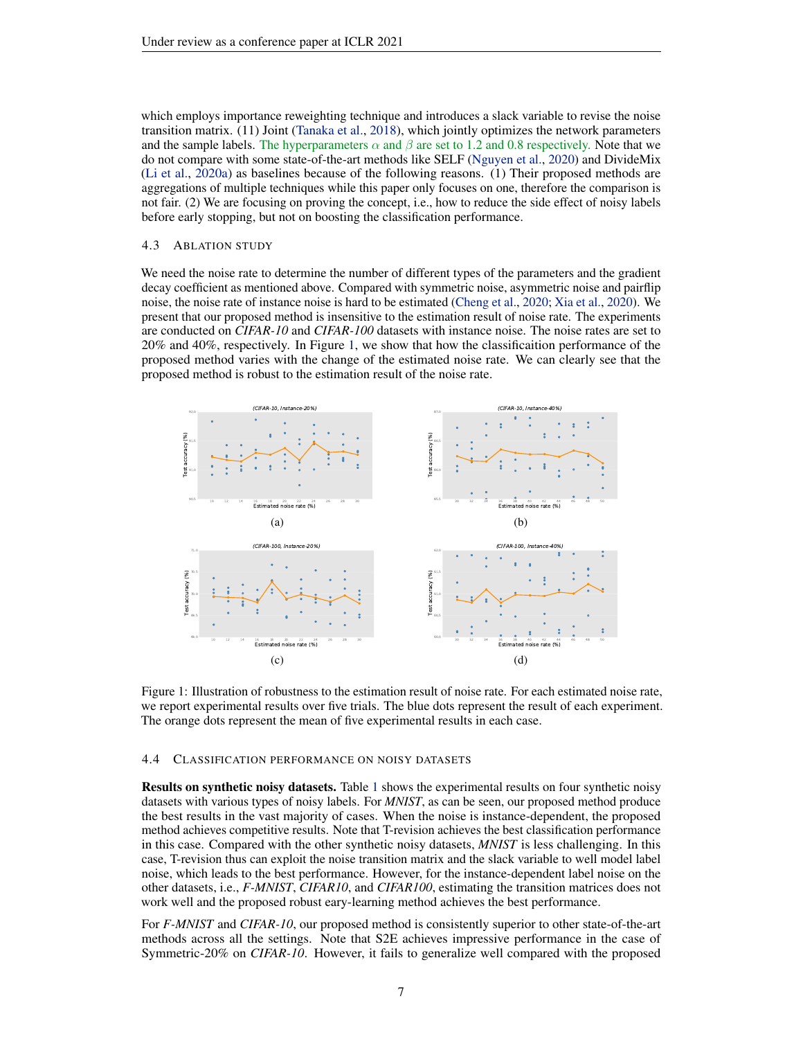which employs importance reweighting technique and introduces a slack variable to revise the noise transition matrix. (11) Joint [\(Tanaka et al.,](#page-10-19) [2018\)](#page-10-19), which jointly optimizes the network parameters and the sample labels. The hyperparameters  $\alpha$  and  $\beta$  are set to 1.2 and 0.8 respectively. Note that we do not compare with some state-of-the-art methods like SELF [\(Nguyen et al.,](#page-9-4) [2020\)](#page-9-4) and DivideMix [\(Li et al.,](#page-9-1) [2020a\)](#page-9-1) as baselines because of the following reasons. (1) Their proposed methods are aggregations of multiple techniques while this paper only focuses on one, therefore the comparison is not fair. (2) We are focusing on proving the concept, i.e., how to reduce the side effect of noisy labels before early stopping, but not on boosting the classification performance.

## <span id="page-6-1"></span>4.3 ABLATION STUDY

We need the noise rate to determine the number of different types of the parameters and the gradient decay coefficient as mentioned above. Compared with symmetric noise, asymmetric noise and pairflip noise, the noise rate of instance noise is hard to be estimated [\(Cheng et al.,](#page-8-18) [2020;](#page-8-18) [Xia et al.,](#page-10-17) [2020\)](#page-10-17). We present that our proposed method is insensitive to the estimation result of noise rate. The experiments are conducted on *CIFAR-10* and *CIFAR-100* datasets with instance noise. The noise rates are set to 20% and 40%, respectively. In Figure [1,](#page-6-2) we show that how the classificaition performance of the proposed method varies with the change of the estimated noise rate. We can clearly see that the proposed method is robust to the estimation result of the noise rate.

<span id="page-6-2"></span>

Figure 1: Illustration of robustness to the estimation result of noise rate. For each estimated noise rate, we report experimental results over five trials. The blue dots represent the result of each experiment. The orange dots represent the mean of five experimental results in each case.

### <span id="page-6-0"></span>4.4 CLASSIFICATION PERFORMANCE ON NOISY DATASETS

Results on synthetic noisy datasets. Table [1](#page-5-1) shows the experimental results on four synthetic noisy datasets with various types of noisy labels. For *MNIST*, as can be seen, our proposed method produce the best results in the vast majority of cases. When the noise is instance-dependent, the proposed method achieves competitive results. Note that T-revision achieves the best classification performance in this case. Compared with the other synthetic noisy datasets, *MNIST* is less challenging. In this case, T-revision thus can exploit the noise transition matrix and the slack variable to well model label noise, which leads to the best performance. However, for the instance-dependent label noise on the other datasets, i.e., *F-MNIST*, *CIFAR10*, and *CIFAR100*, estimating the transition matrices does not work well and the proposed robust eary-learning method achieves the best performance.

For *F-MNIST* and *CIFAR-10*, our proposed method is consistently superior to other state-of-the-art methods across all the settings. Note that S2E achieves impressive performance in the case of Symmetric-20% on *CIFAR-10*. However, it fails to generalize well compared with the proposed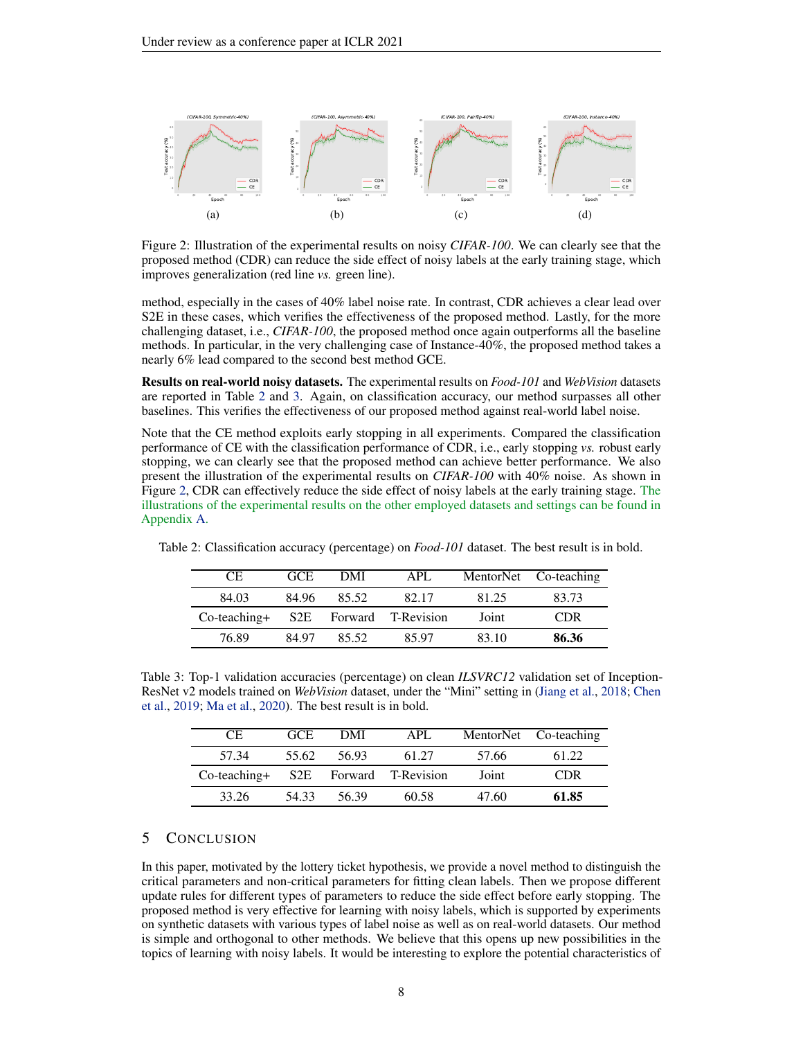<span id="page-7-3"></span>

Figure 2: Illustration of the experimental results on noisy *CIFAR-100*. We can clearly see that the proposed method (CDR) can reduce the side effect of noisy labels at the early training stage, which improves generalization (red line *vs.* green line).

method, especially in the cases of 40% label noise rate. In contrast, CDR achieves a clear lead over S2E in these cases, which verifies the effectiveness of the proposed method. Lastly, for the more challenging dataset, i.e., *CIFAR-100*, the proposed method once again outperforms all the baseline methods. In particular, in the very challenging case of Instance-40%, the proposed method takes a nearly 6% lead compared to the second best method GCE.

Results on real-world noisy datasets. The experimental results on *Food-101* and *WebVision* datasets are reported in Table [2](#page-7-1) and [3.](#page-7-2) Again, on classification accuracy, our method surpasses all other baselines. This verifies the effectiveness of our proposed method against real-world label noise.

Note that the CE method exploits early stopping in all experiments. Compared the classification performance of CE with the classification performance of CDR, i.e., early stopping *vs.* robust early stopping, we can clearly see that the proposed method can achieve better performance. We also present the illustration of the experimental results on *CIFAR-100* with 40% noise. As shown in Figure [2,](#page-7-3) CDR can effectively reduce the side effect of noisy labels at the early training stage. The illustrations of the experimental results on the other employed datasets and settings can be found in Appendix [A.](#page-12-0)

| $C_{\rm E}$     | GCE.  | DMI   | APL                |       | MentorNet Co-teaching |
|-----------------|-------|-------|--------------------|-------|-----------------------|
| 84.03           | 84.96 | 85.52 | 82.17              | 81.25 | 83.73                 |
| $Co$ -teaching+ | S2E   |       | Forward T-Revision | Joint | <b>CDR</b>            |
| 76.89           | 84 97 | 85.52 | 85.97              | 83.10 | 86.36                 |

<span id="page-7-1"></span>Table 2: Classification accuracy (percentage) on *Food-101* dataset. The best result is in bold.

<span id="page-7-2"></span>Table 3: Top-1 validation accuracies (percentage) on clean *ILSVRC12* validation set of Inception-ResNet v2 models trained on *WebVision* dataset, under the "Mini" setting in [\(Jiang et al.,](#page-9-3) [2018;](#page-9-3) [Chen](#page-8-17) [et al.,](#page-8-17) [2019;](#page-8-17) [Ma et al.,](#page-9-12) [2020\)](#page-9-12). The best result is in bold.

| CE.             | GCE.  | DMI   | APL                    |       | MentorNet Co-teaching |
|-----------------|-------|-------|------------------------|-------|-----------------------|
| 57.34           | 55.62 | 56.93 | 61.27                  | 57.66 | 61.22                 |
| $Co$ -teaching+ |       |       | S2E Forward T-Revision | Joint | <b>CDR</b>            |
| 33.26           | 54.33 | 56.39 | 60.58                  | 47.60 | 61.85                 |

# <span id="page-7-0"></span>5 CONCLUSION

In this paper, motivated by the lottery ticket hypothesis, we provide a novel method to distinguish the critical parameters and non-critical parameters for fitting clean labels. Then we propose different update rules for different types of parameters to reduce the side effect before early stopping. The proposed method is very effective for learning with noisy labels, which is supported by experiments on synthetic datasets with various types of label noise as well as on real-world datasets. Our method is simple and orthogonal to other methods. We believe that this opens up new possibilities in the topics of learning with noisy labels. It would be interesting to explore the potential characteristics of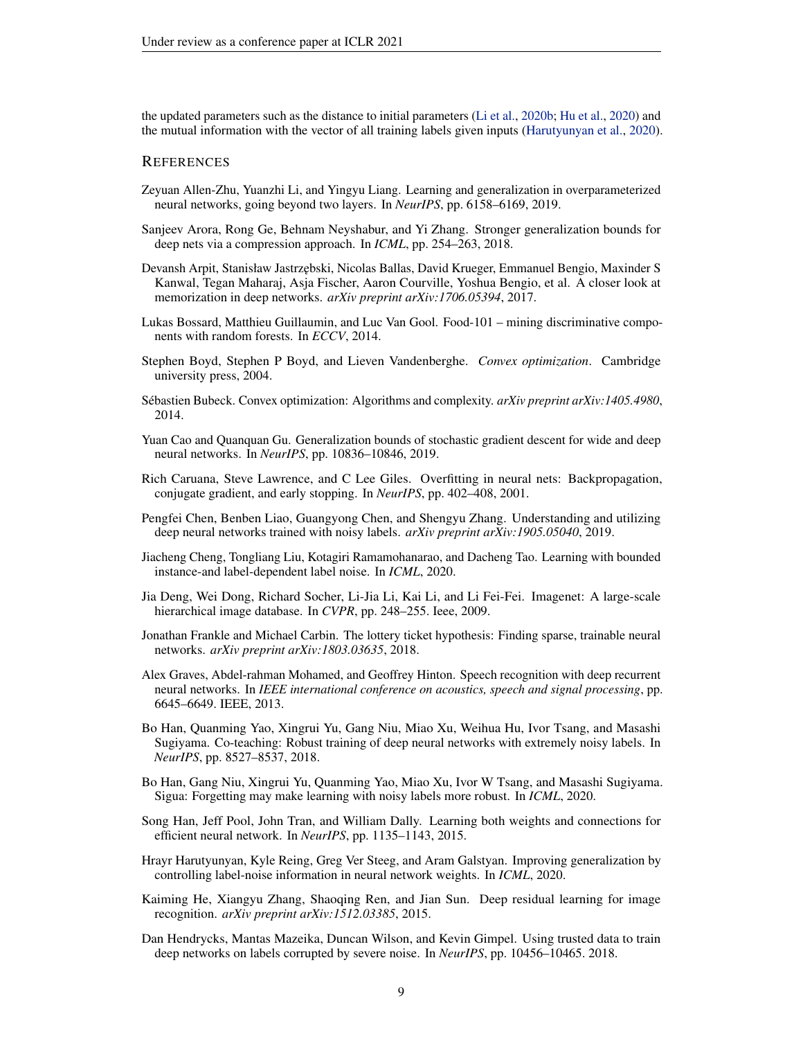the updated parameters such as the distance to initial parameters [\(Li et al.,](#page-9-6) [2020b;](#page-9-6) [Hu et al.,](#page-9-7) [2020\)](#page-9-7) and the mutual information with the vector of all training labels given inputs [\(Harutyunyan et al.,](#page-8-2) [2020\)](#page-8-2).

## **REFERENCES**

- <span id="page-8-9"></span>Zeyuan Allen-Zhu, Yuanzhi Li, and Yingyu Liang. Learning and generalization in overparameterized neural networks, going beyond two layers. In *NeurIPS*, pp. 6158–6169, 2019.
- <span id="page-8-14"></span>Sanjeev Arora, Rong Ge, Behnam Neyshabur, and Yi Zhang. Stronger generalization bounds for deep nets via a compression approach. In *ICML*, pp. 254–263, 2018.
- <span id="page-8-3"></span>Devansh Arpit, Stanisław Jastrzebski, Nicolas Ballas, David Krueger, Emmanuel Bengio, Maxinder S Kanwal, Tegan Maharaj, Asja Fischer, Aaron Courville, Yoshua Bengio, et al. A closer look at memorization in deep networks. *arXiv preprint arXiv:1706.05394*, 2017.
- <span id="page-8-15"></span>Lukas Bossard, Matthieu Guillaumin, and Luc Van Gool. Food-101 – mining discriminative components with random forests. In *ECCV*, 2014.
- <span id="page-8-11"></span>Stephen Boyd, Stephen P Boyd, and Lieven Vandenberghe. *Convex optimization*. Cambridge university press, 2004.
- <span id="page-8-12"></span>Sébastien Bubeck. Convex optimization: Algorithms and complexity. *arXiv preprint arXiv:1405.4980*, 2014.
- <span id="page-8-10"></span>Yuan Cao and Quanquan Gu. Generalization bounds of stochastic gradient descent for wide and deep neural networks. In *NeurIPS*, pp. 10836–10846, 2019.
- <span id="page-8-7"></span>Rich Caruana, Steve Lawrence, and C Lee Giles. Overfitting in neural nets: Backpropagation, conjugate gradient, and early stopping. In *NeurIPS*, pp. 402–408, 2001.
- <span id="page-8-17"></span>Pengfei Chen, Benben Liao, Guangyong Chen, and Shengyu Zhang. Understanding and utilizing deep neural networks trained with noisy labels. *arXiv preprint arXiv:1905.05040*, 2019.
- <span id="page-8-18"></span>Jiacheng Cheng, Tongliang Liu, Kotagiri Ramamohanarao, and Dacheng Tao. Learning with bounded instance-and label-dependent label noise. In *ICML*, 2020.
- <span id="page-8-16"></span>Jia Deng, Wei Dong, Richard Socher, Li-Jia Li, Kai Li, and Li Fei-Fei. Imagenet: A large-scale hierarchical image database. In *CVPR*, pp. 248–255. Ieee, 2009.
- <span id="page-8-6"></span>Jonathan Frankle and Michael Carbin. The lottery ticket hypothesis: Finding sparse, trainable neural networks. *arXiv preprint arXiv:1803.03635*, 2018.
- <span id="page-8-1"></span>Alex Graves, Abdel-rahman Mohamed, and Geoffrey Hinton. Speech recognition with deep recurrent neural networks. In *IEEE international conference on acoustics, speech and signal processing*, pp. 6645–6649. IEEE, 2013.
- <span id="page-8-4"></span>Bo Han, Quanming Yao, Xingrui Yu, Gang Niu, Miao Xu, Weihua Hu, Ivor Tsang, and Masashi Sugiyama. Co-teaching: Robust training of deep neural networks with extremely noisy labels. In *NeurIPS*, pp. 8527–8537, 2018.
- <span id="page-8-5"></span>Bo Han, Gang Niu, Xingrui Yu, Quanming Yao, Miao Xu, Ivor W Tsang, and Masashi Sugiyama. Sigua: Forgetting may make learning with noisy labels more robust. In *ICML*, 2020.
- <span id="page-8-13"></span>Song Han, Jeff Pool, John Tran, and William Dally. Learning both weights and connections for efficient neural network. In *NeurIPS*, pp. 1135–1143, 2015.
- <span id="page-8-2"></span>Hrayr Harutyunyan, Kyle Reing, Greg Ver Steeg, and Aram Galstyan. Improving generalization by controlling label-noise information in neural network weights. In *ICML*, 2020.
- <span id="page-8-0"></span>Kaiming He, Xiangyu Zhang, Shaoqing Ren, and Jian Sun. Deep residual learning for image recognition. *arXiv preprint arXiv:1512.03385*, 2015.
- <span id="page-8-8"></span>Dan Hendrycks, Mantas Mazeika, Duncan Wilson, and Kevin Gimpel. Using trusted data to train deep networks on labels corrupted by severe noise. In *NeurIPS*, pp. 10456–10465. 2018.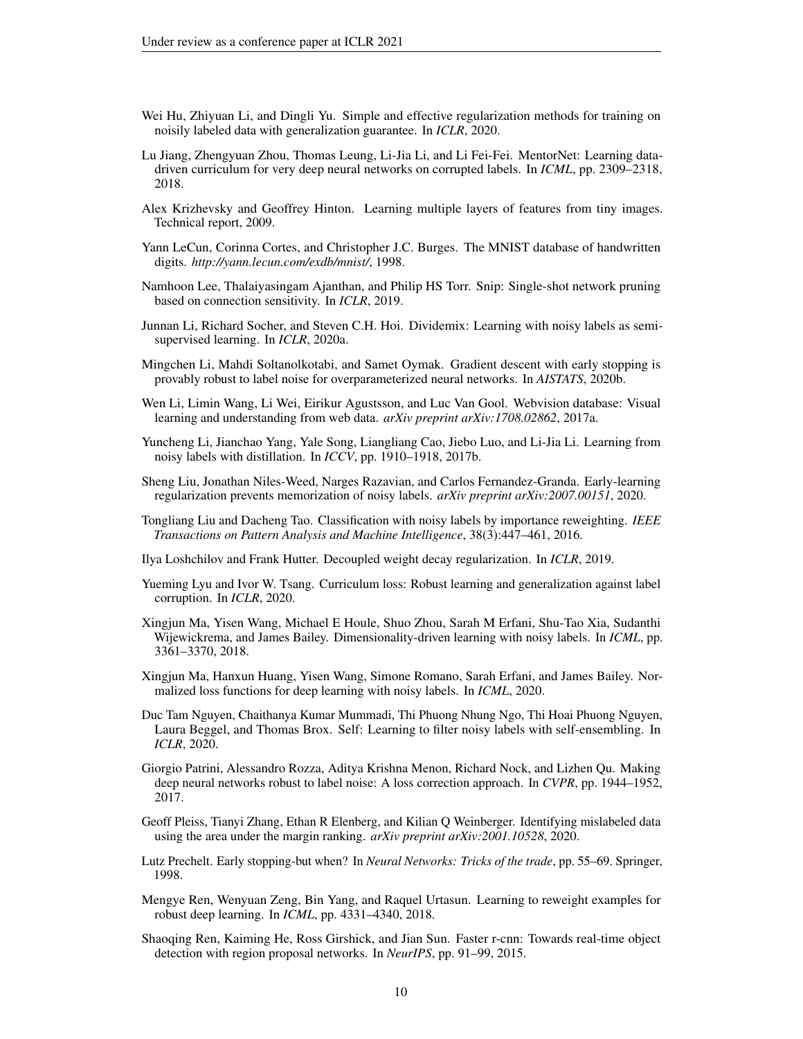- <span id="page-9-7"></span>Wei Hu, Zhiyuan Li, and Dingli Yu. Simple and effective regularization methods for training on noisily labeled data with generalization guarantee. In *ICLR*, 2020.
- <span id="page-9-3"></span>Lu Jiang, Zhengyuan Zhou, Thomas Leung, Li-Jia Li, and Li Fei-Fei. MentorNet: Learning datadriven curriculum for very deep neural networks on corrupted labels. In *ICML*, pp. 2309–2318, 2018.
- <span id="page-9-17"></span>Alex Krizhevsky and Geoffrey Hinton. Learning multiple layers of features from tiny images. Technical report, 2009.
- <span id="page-9-16"></span>Yann LeCun, Corinna Cortes, and Christopher J.C. Burges. The MNIST database of handwritten digits. *http://yann.lecun.com/exdb/mnist/*, 1998.
- <span id="page-9-15"></span>Namhoon Lee, Thalaiyasingam Ajanthan, and Philip HS Torr. Snip: Single-shot network pruning based on connection sensitivity. In *ICLR*, 2019.
- <span id="page-9-1"></span>Junnan Li, Richard Socher, and Steven C.H. Hoi. Dividemix: Learning with noisy labels as semisupervised learning. In *ICLR*, 2020a.
- <span id="page-9-6"></span>Mingchen Li, Mahdi Soltanolkotabi, and Samet Oymak. Gradient descent with early stopping is provably robust to label noise for overparameterized neural networks. In *AISTATS*, 2020b.
- <span id="page-9-2"></span>Wen Li, Limin Wang, Li Wei, Eirikur Agustsson, and Luc Van Gool. Webvision database: Visual learning and understanding from web data. *arXiv preprint arXiv:1708.02862*, 2017a.
- <span id="page-9-11"></span>Yuncheng Li, Jianchao Yang, Yale Song, Liangliang Cao, Jiebo Luo, and Li-Jia Li. Learning from noisy labels with distillation. In *ICCV*, pp. 1910–1918, 2017b.
- <span id="page-9-5"></span>Sheng Liu, Jonathan Niles-Weed, Narges Razavian, and Carlos Fernandez-Granda. Early-learning regularization prevents memorization of noisy labels. *arXiv preprint arXiv:2007.00151*, 2020.
- <span id="page-9-9"></span>Tongliang Liu and Dacheng Tao. Classification with noisy labels by importance reweighting. *IEEE Transactions on Pattern Analysis and Machine Intelligence*, 38(3):447–461, 2016.
- <span id="page-9-14"></span>Ilya Loshchilov and Frank Hutter. Decoupled weight decay regularization. In *ICLR*, 2019.
- <span id="page-9-20"></span>Yueming Lyu and Ivor W. Tsang. Curriculum loss: Robust learning and generalization against label corruption. In *ICLR*, 2020.
- <span id="page-9-18"></span>Xingjun Ma, Yisen Wang, Michael E Houle, Shuo Zhou, Sarah M Erfani, Shu-Tao Xia, Sudanthi Wijewickrema, and James Bailey. Dimensionality-driven learning with noisy labels. In *ICML*, pp. 3361–3370, 2018.
- <span id="page-9-12"></span>Xingjun Ma, Hanxun Huang, Yisen Wang, Simone Romano, Sarah Erfani, and James Bailey. Normalized loss functions for deep learning with noisy labels. In *ICML*, 2020.
- <span id="page-9-4"></span>Duc Tam Nguyen, Chaithanya Kumar Mummadi, Thi Phuong Nhung Ngo, Thi Hoai Phuong Nguyen, Laura Beggel, and Thomas Brox. Self: Learning to filter noisy labels with self-ensembling. In *ICLR*, 2020.
- <span id="page-9-10"></span>Giorgio Patrini, Alessandro Rozza, Aditya Krishna Menon, Richard Nock, and Lizhen Qu. Making deep neural networks robust to label noise: A loss correction approach. In *CVPR*, pp. 1944–1952, 2017.
- <span id="page-9-19"></span>Geoff Pleiss, Tianyi Zhang, Ethan R Elenberg, and Kilian Q Weinberger. Identifying mislabeled data using the area under the margin ranking. *arXiv preprint arXiv:2001.10528*, 2020.
- <span id="page-9-8"></span>Lutz Prechelt. Early stopping-but when? In *Neural Networks: Tricks of the trade*, pp. 55–69. Springer, 1998.
- <span id="page-9-13"></span>Mengye Ren, Wenyuan Zeng, Bin Yang, and Raquel Urtasun. Learning to reweight examples for robust deep learning. In *ICML*, pp. 4331–4340, 2018.
- <span id="page-9-0"></span>Shaoqing Ren, Kaiming He, Ross Girshick, and Jian Sun. Faster r-cnn: Towards real-time object detection with region proposal networks. In *NeurIPS*, pp. 91–99, 2015.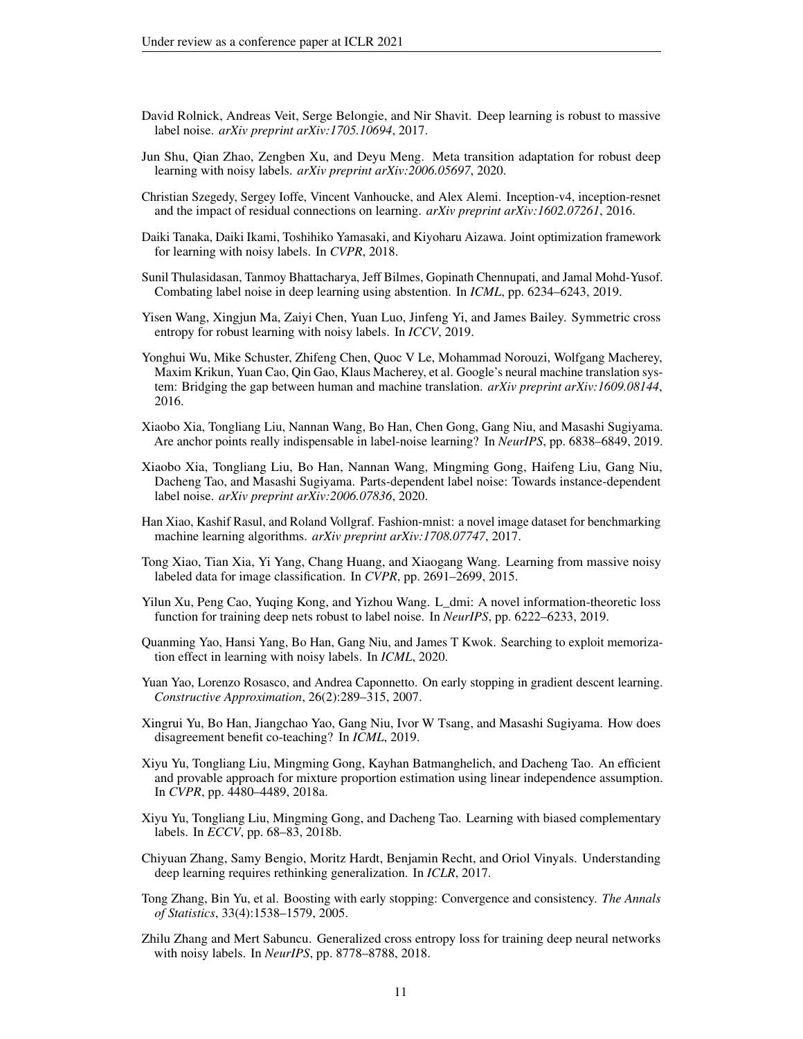- <span id="page-10-4"></span>David Rolnick, Andreas Veit, Serge Belongie, and Nir Shavit. Deep learning is robust to massive label noise. *arXiv preprint arXiv:1705.10694*, 2017.
- <span id="page-10-13"></span>Jun Shu, Qian Zhao, Zengben Xu, and Deyu Meng. Meta transition adaptation for robust deep learning with noisy labels. *arXiv preprint arXiv:2006.05697*, 2020.
- <span id="page-10-18"></span>Christian Szegedy, Sergey Ioffe, Vincent Vanhoucke, and Alex Alemi. Inception-v4, inception-resnet and the impact of residual connections on learning. *arXiv preprint arXiv:1602.07261*, 2016.
- <span id="page-10-19"></span>Daiki Tanaka, Daiki Ikami, Toshihiko Yamasaki, and Kiyoharu Aizawa. Joint optimization framework for learning with noisy labels. In *CVPR*, 2018.
- <span id="page-10-16"></span>Sunil Thulasidasan, Tanmoy Bhattacharya, Jeff Bilmes, Gopinath Chennupati, and Jamal Mohd-Yusof. Combating label noise in deep learning using abstention. In *ICML*, pp. 6234–6243, 2019.
- <span id="page-10-12"></span>Yisen Wang, Xingjun Ma, Zaiyi Chen, Yuan Luo, Jinfeng Yi, and James Bailey. Symmetric cross entropy for robust learning with noisy labels. In *ICCV*, 2019.
- <span id="page-10-0"></span>Yonghui Wu, Mike Schuster, Zhifeng Chen, Quoc V Le, Mohammad Norouzi, Wolfgang Macherey, Maxim Krikun, Yuan Cao, Qin Gao, Klaus Macherey, et al. Google's neural machine translation system: Bridging the gap between human and machine translation. *arXiv preprint arXiv:1609.08144*, 2016.
- <span id="page-10-10"></span>Xiaobo Xia, Tongliang Liu, Nannan Wang, Bo Han, Chen Gong, Gang Niu, and Masashi Sugiyama. Are anchor points really indispensable in label-noise learning? In *NeurIPS*, pp. 6838–6849, 2019.
- <span id="page-10-17"></span>Xiaobo Xia, Tongliang Liu, Bo Han, Nannan Wang, Mingming Gong, Haifeng Liu, Gang Niu, Dacheng Tao, and Masashi Sugiyama. Parts-dependent label noise: Towards instance-dependent label noise. *arXiv preprint arXiv:2006.07836*, 2020.
- <span id="page-10-15"></span>Han Xiao, Kashif Rasul, and Roland Vollgraf. Fashion-mnist: a novel image dataset for benchmarking machine learning algorithms. *arXiv preprint arXiv:1708.07747*, 2017.
- <span id="page-10-1"></span>Tong Xiao, Tian Xia, Yi Yang, Chang Huang, and Xiaogang Wang. Learning from massive noisy labeled data for image classification. In *CVPR*, pp. 2691–2699, 2015.
- <span id="page-10-9"></span>Yilun Xu, Peng Cao, Yuqing Kong, and Yizhou Wang. L\_dmi: A novel information-theoretic loss function for training deep nets robust to label noise. In *NeurIPS*, pp. 6222–6233, 2019.
- <span id="page-10-5"></span>Quanming Yao, Hansi Yang, Bo Han, Gang Niu, and James T Kwok. Searching to exploit memorization effect in learning with noisy labels. In *ICML*, 2020.
- <span id="page-10-7"></span>Yuan Yao, Lorenzo Rosasco, and Andrea Caponnetto. On early stopping in gradient descent learning. *Constructive Approximation*, 26(2):289–315, 2007.
- <span id="page-10-3"></span>Xingrui Yu, Bo Han, Jiangchao Yao, Gang Niu, Ivor W Tsang, and Masashi Sugiyama. How does disagreement benefit co-teaching? In *ICML*, 2019.
- <span id="page-10-14"></span>Xiyu Yu, Tongliang Liu, Mingming Gong, Kayhan Batmanghelich, and Dacheng Tao. An efficient and provable approach for mixture proportion estimation using linear independence assumption. In *CVPR*, pp. 4480–4489, 2018a.
- <span id="page-10-8"></span>Xiyu Yu, Tongliang Liu, Mingming Gong, and Dacheng Tao. Learning with biased complementary labels. In *ECCV*, pp. 68–83, 2018b.
- <span id="page-10-2"></span>Chiyuan Zhang, Samy Bengio, Moritz Hardt, Benjamin Recht, and Oriol Vinyals. Understanding deep learning requires rethinking generalization. In *ICLR*, 2017.
- <span id="page-10-6"></span>Tong Zhang, Bin Yu, et al. Boosting with early stopping: Convergence and consistency. *The Annals of Statistics*, 33(4):1538–1579, 2005.
- <span id="page-10-11"></span>Zhilu Zhang and Mert Sabuncu. Generalized cross entropy loss for training deep neural networks with noisy labels. In *NeurIPS*, pp. 8778–8788, 2018.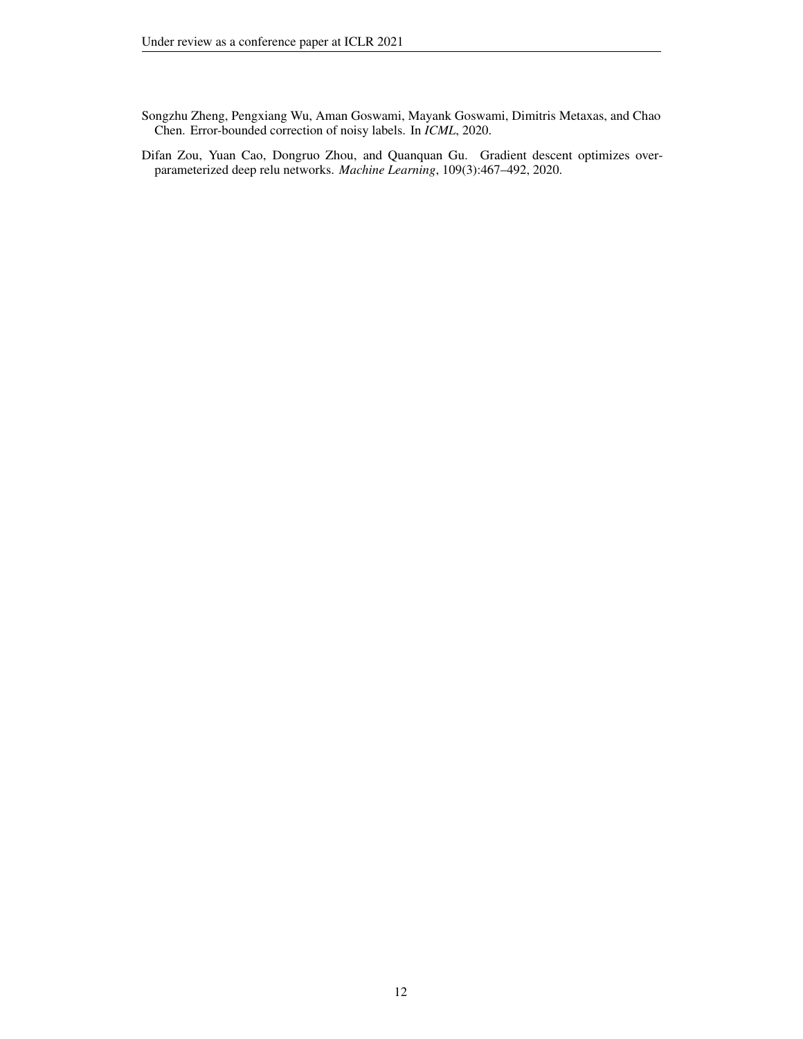- <span id="page-11-1"></span>Songzhu Zheng, Pengxiang Wu, Aman Goswami, Mayank Goswami, Dimitris Metaxas, and Chao Chen. Error-bounded correction of noisy labels. In *ICML*, 2020.
- <span id="page-11-0"></span>Difan Zou, Yuan Cao, Dongruo Zhou, and Quanquan Gu. Gradient descent optimizes overparameterized deep relu networks. *Machine Learning*, 109(3):467–492, 2020.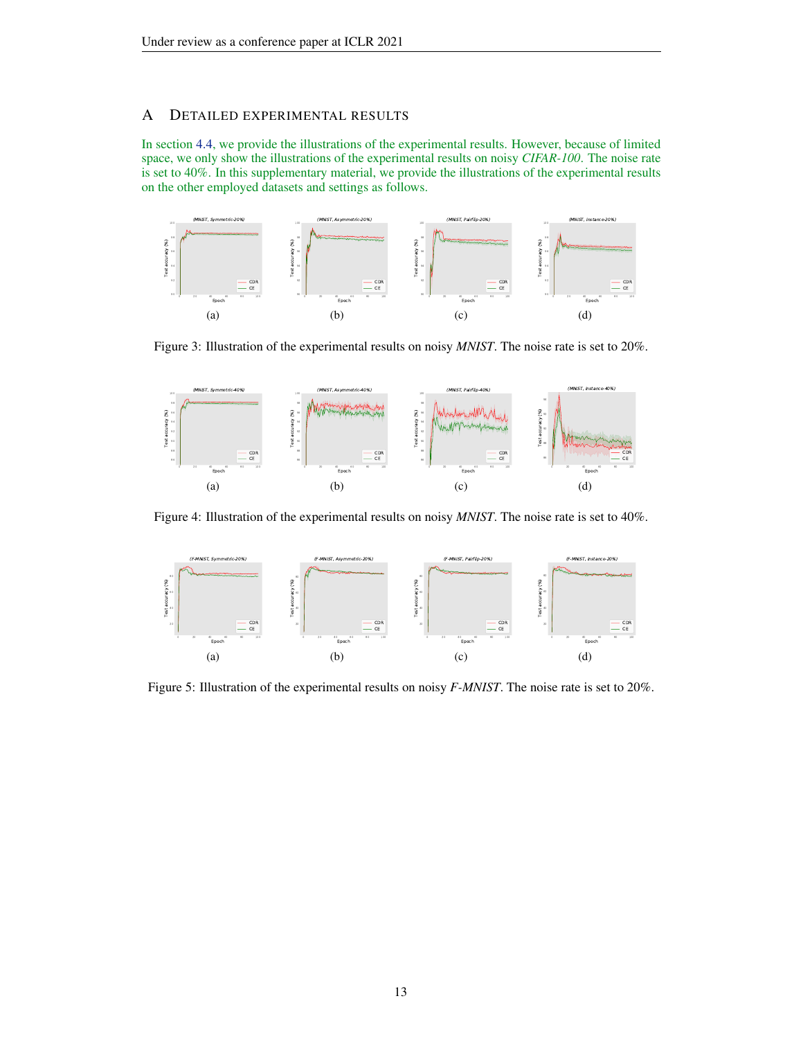# <span id="page-12-0"></span>A DETAILED EXPERIMENTAL RESULTS

In section [4.4,](#page-6-0) we provide the illustrations of the experimental results. However, because of limited space, we only show the illustrations of the experimental results on noisy *CIFAR-100*. The noise rate is set to 40%. In this supplementary material, we provide the illustrations of the experimental results on the other employed datasets and settings as follows.



Figure 3: Illustration of the experimental results on noisy *MNIST*. The noise rate is set to 20%.



Figure 4: Illustration of the experimental results on noisy *MNIST*. The noise rate is set to 40%.



Figure 5: Illustration of the experimental results on noisy *F-MNIST*. The noise rate is set to 20%.